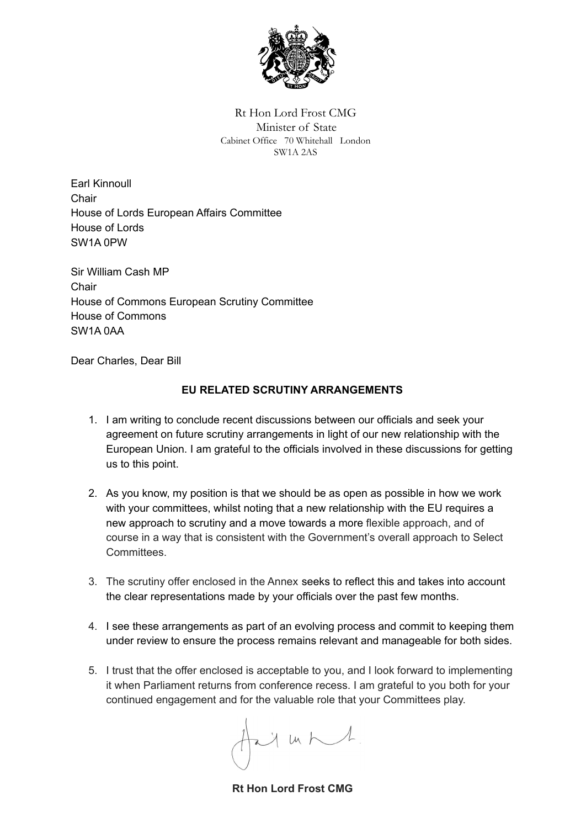

Rt Hon Lord Frost CMG Minister of State Cabinet Office 70 Whitehall London SW1A 2AS

Earl Kinnoull **Chair** House of Lords European Affairs Committee House of Lords SW1A 0PW

Sir William Cash MP Chair House of Commons European Scrutiny Committee House of Commons SW1A 0AA

Dear Charles, Dear Bill

#### **EU RELATED SCRUTINY ARRANGEMENTS**

- 1. I am writing to conclude recent discussions between our officials and seek your agreement on future scrutiny arrangements in light of our new relationship with the European Union. I am grateful to the officials involved in these discussions for getting us to this point.
- 2. As you know, my position is that we should be as open as possible in how we work with your committees, whilst noting that a new relationship with the EU requires a new approach to scrutiny and a move towards a more flexible approach, and of course in a way that is consistent with the Government's overall approach to Select Committees.
- 3. The scrutiny offer enclosed in the Annex seeks to reflect this and takes into account the clear representations made by your officials over the past few months.
- 4. I see these arrangements as part of an evolving process and commit to keeping them under review to ensure the process remains relevant and manageable for both sides.
- 5. I trust that the offer enclosed is acceptable to you, and I look forward to implementing it when Parliament returns from conference recess. I am grateful to you both for your continued engagement and for the valuable role that your Committees play.

 $2y + h$ 

**Rt Hon Lord Frost CMG**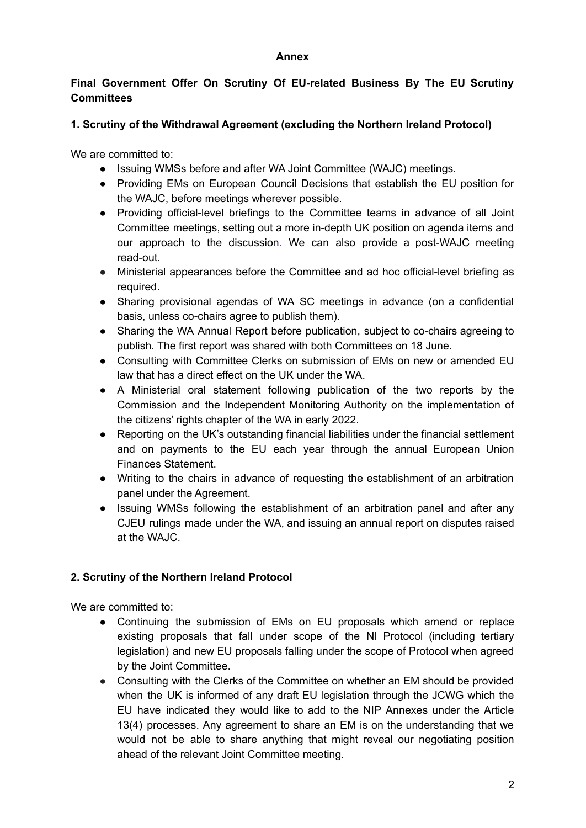#### **Annex**

## **Final Government Offer On Scrutiny Of EU-related Business By The EU Scrutiny Committees**

# **1. Scrutiny of the Withdrawal Agreement (excluding the Northern Ireland Protocol)**

We are committed to:

- Issuing WMSs before and after WA Joint Committee (WAJC) meetings.
- Providing EMs on European Council Decisions that establish the EU position for the WAJC, before meetings wherever possible.
- Providing official-level briefings to the Committee teams in advance of all Joint Committee meetings, setting out a more in-depth UK position on agenda items and our approach to the discussion. We can also provide a post-WAJC meeting read-out.
- Ministerial appearances before the Committee and ad hoc official-level briefing as required.
- Sharing provisional agendas of WA SC meetings in advance (on a confidential basis, unless co-chairs agree to publish them).
- Sharing the WA Annual Report before publication, subject to co-chairs agreeing to publish. The first report was shared with both Committees on 18 June.
- Consulting with Committee Clerks on submission of EMs on new or amended EU law that has a direct effect on the UK under the WA.
- A Ministerial oral statement following publication of the two reports by the Commission and the Independent Monitoring Authority on the implementation of the citizens' rights chapter of the WA in early 2022.
- Reporting on the UK's outstanding financial liabilities under the financial settlement and on payments to the EU each year through the annual European Union Finances Statement.
- Writing to the chairs in advance of requesting the establishment of an arbitration panel under the Agreement.
- Issuing WMSs following the establishment of an arbitration panel and after any CJEU rulings made under the WA, and issuing an annual report on disputes raised at the WAJC.

# **2. Scrutiny of the Northern Ireland Protocol**

We are committed to:

- Continuing the submission of EMs on EU proposals which amend or replace existing proposals that fall under scope of the NI Protocol (including tertiary legislation) and new EU proposals falling under the scope of Protocol when agreed by the Joint Committee.
- Consulting with the Clerks of the Committee on whether an EM should be provided when the UK is informed of any draft EU legislation through the JCWG which the EU have indicated they would like to add to the NIP Annexes under the Article 13(4) processes. Any agreement to share an EM is on the understanding that we would not be able to share anything that might reveal our negotiating position ahead of the relevant Joint Committee meeting.